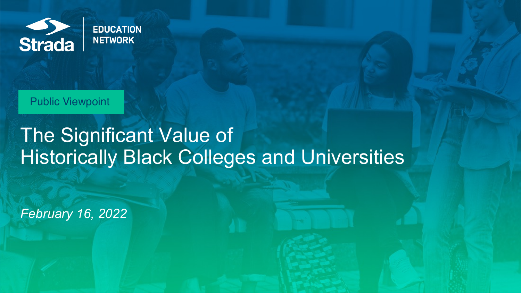

Public Viewpoint

# The Significant Value of Historically Black Colleges and Universities

*February 16, 2022*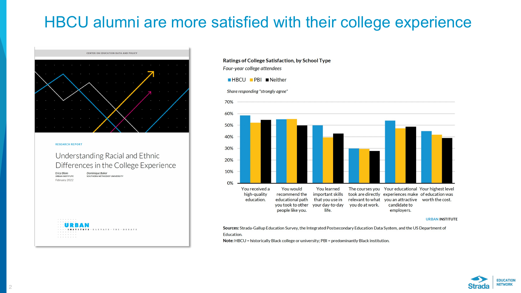## HBCU alumni are more satisfied with their college experience



#### Ratings of College Satisfaction, by School Type Four-year college attendees

#### $HBCU$  PBI Neither





**URBAN INSTITUTE** 

Sources: Strada-Gallup Education Survey, the Integrated Postsecondary Education Data System, and the US Department of **Education.** 

Note: HBCU = historically Black college or university; PBI = predominantly Black institution.

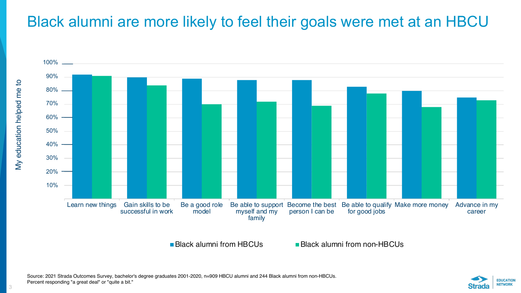### Black alumni are more likely to feel their goals were met at an HBCU



**Black alumni from HBCUs Black alumni from non-HBCUs** 



3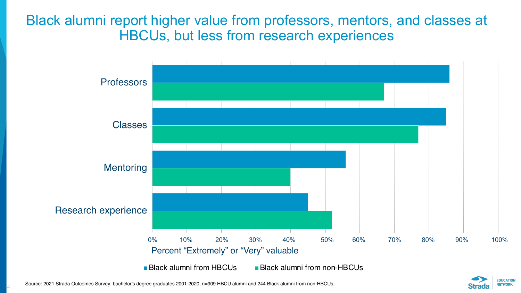Black alumni report higher value from professors, mentors, and classes at HBCUs, but less from research experiences



Source: 2021 Strada Outcomes Survey, bachelor's degree graduates 2001-2020, n=909 HBCU alumni and 244 Black alumni from non-HBCUs.

4

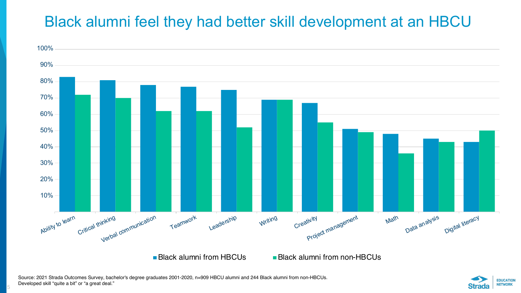## Black alumni feel they had better skill development at an HBCU



**Black alumni from HBCUs Black alumni from non-HBCUs** 

5

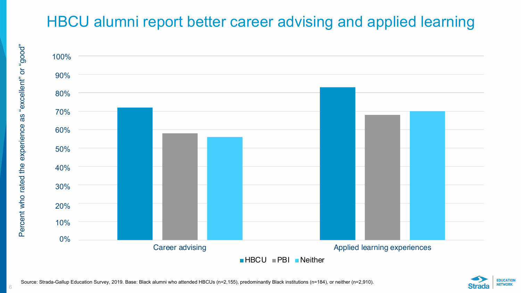## HBCU alumni report better career advising and applied learning



Source: Strada-Gallup Education Survey, 2019. Base: Black alumni who attended HBCUs (n=2,155), predominantly Black institutions (n=184), or neither (n=2,910).

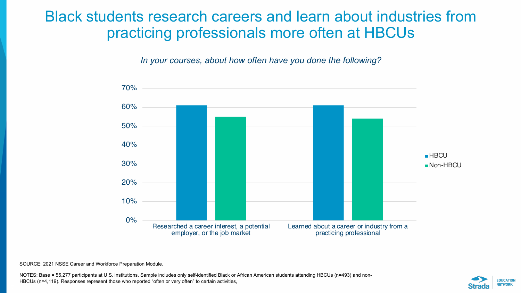#### Black students research careers and learn about industries from practicing professionals more often at HBCUs

*In your courses, about how often have you done the following?*



SOURCE: 2021 NSSE Career and Workforce Preparation Module.

NOTES: Base = 55,277 participants at U.S. institutions. Sample includes only self-identified Black or African American students attending HBCUs (n=493) and non-HBCUs (n=4,119). Responses represent those who reported "often or very often" to certain activities,

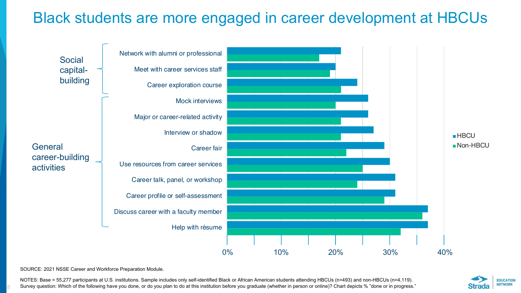### Black students are more engaged in career development at HBCUs



SOURCE: 2021 NSSE Career and Workforce Preparation Module.

8

NOTES: Base = 55,277 participants at U.S. institutions. Sample includes only self-identified Black or African American students attending HBCUs (n=493) and non-HBCUs (n=4,119). Survey question: Which of the following have you done, or do you plan to do at this institution before you graduate (whether in person or online)? Chart depicts % "done or in progress."

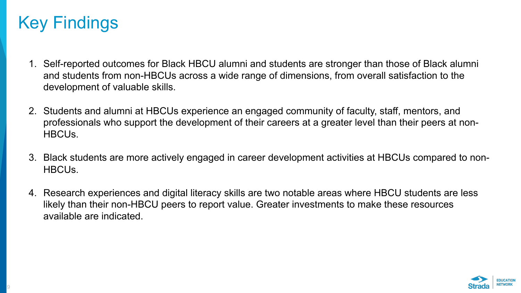## Key Findings

- 1. Self-reported outcomes for Black HBCU alumni and students are stronger than those of Black alumni and students from non-HBCUs across a wide range of dimensions, from overall satisfaction to the development of valuable skills.
- 2. Students and alumni at HBCUs experience an engaged community of faculty, staff, mentors, and professionals who support the development of their careers at a greater level than their peers at non-HBCUs.
- 3. Black students are more actively engaged in career development activities at HBCUs compared to non-HBCUs.
- 4. Research experiences and digital literacy skills are two notable areas where HBCU students are less likely than their non-HBCU peers to report value. Greater investments to make these resources available are indicated.

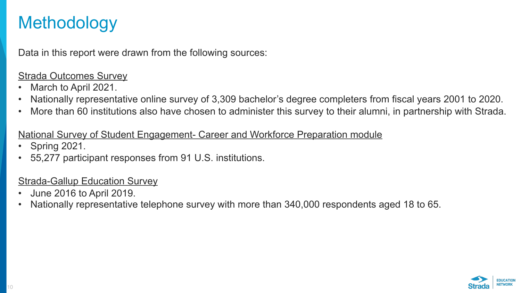## **Methodology**

Data in this report were drawn from the following sources:

#### Strada Outcomes Survey

- March to April 2021.
- Nationally representative online survey of 3,309 bachelor's degree completers from fiscal years 2001 to 2020.
- More than 60 institutions also have chosen to administer this survey to their alumni, in partnership with Strada.

#### National Survey of Student Engagement- Career and Workforce Preparation module

- Spring 2021.
- 55,277 participant responses from 91 U.S. institutions.

#### Strada-Gallup Education Survey

- June 2016 to April 2019.
- Nationally representative telephone survey with more than 340,000 respondents aged 18 to 65.